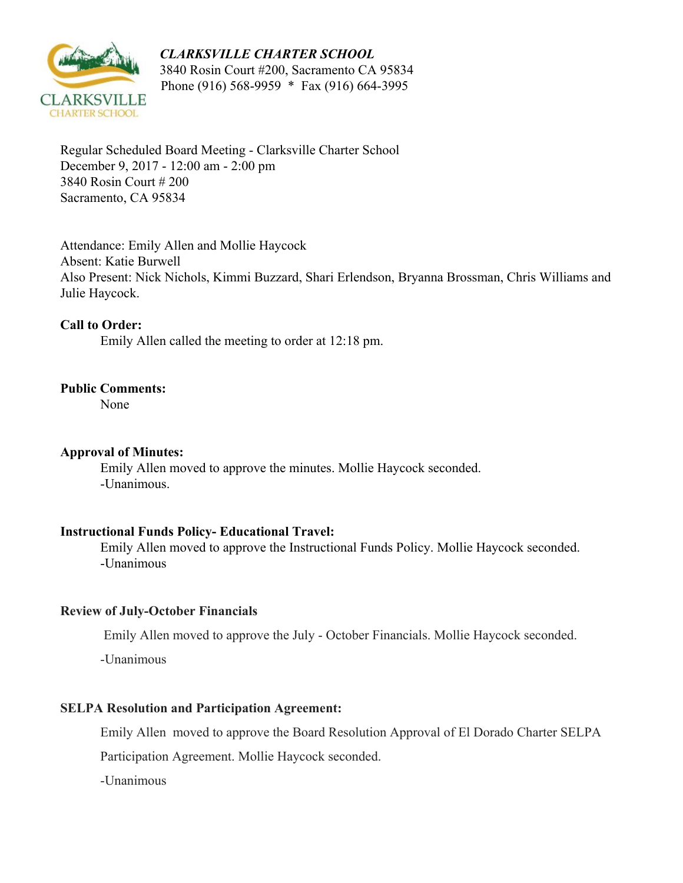## *CLARKSVILLE CHARTER SCHOOL*



 3840 Rosin Court #200, Sacramento CA 95834 Phone (916) 568-9959 \* Fax (916) 664-3995

Regular Scheduled Board Meeting - Clarksville Charter School December 9, 2017 - 12:00 am - 2:00 pm 3840 Rosin Court # 200 Sacramento, CA 95834

Attendance: Emily Allen and Mollie Haycock Absent: Katie Burwell Also Present: Nick Nichols, Kimmi Buzzard, Shari Erlendson, Bryanna Brossman, Chris Williams and Julie Haycock.

## **Call to Order:**

Emily Allen called the meeting to order at 12:18 pm.

## **Public Comments:**

None

#### **Approval of Minutes:**

Emily Allen moved to approve the minutes. Mollie Haycock seconded. -Unanimous.

#### **Instructional Funds Policy- Educational Travel:**

Emily Allen moved to approve the Instructional Funds Policy. Mollie Haycock seconded. -Unanimous

# **Review of July-October Financials**

Emily Allen moved to approve the July - October Financials. Mollie Haycock seconded.

-Unanimous

# **SELPA Resolution and Participation Agreement:**

Emily Allen moved to approve the Board Resolution Approval of El Dorado Charter SELPA

Participation Agreement. Mollie Haycock seconded.

-Unanimous